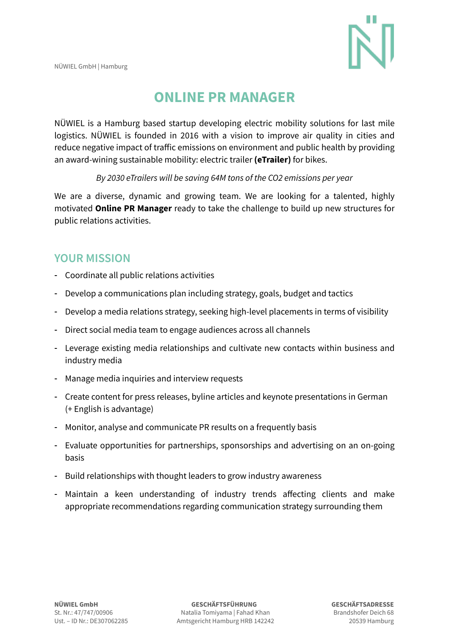

# **ONLINE PR MANAGER**

NÜWIEL is a Hamburg based startup developing electric mobility solutions for last mile logistics. NÜWIEL is founded in 2016 with a vision to improve air quality in cities and reduce negative impact of traffic emissions on environment and public health by providing an award-wining sustainable mobility: electric trailer **(eTrailer)** for bikes.

#### *By 2030 eTrailers will be saving 64M tons of the CO2 emissions per year*

We are a diverse, dynamic and growing team. We are looking for a talented, highly motivated **Online PR Manager** ready to take the challenge to build up new structures for public relations activities.

#### **YOUR MISSION**

- Coordinate all public relations activities
- Develop a communications plan including strategy, goals, budget and tactics
- Develop a media relations strategy, seeking high-level placements in terms of visibility
- Direct social media team to engage audiences across all channels
- Leverage existing media relationships and cultivate new contacts within business and industry media
- Manage media inquiries and interview requests
- Create content for press releases, byline articles and keynote presentations in German (+ English is advantage)
- Monitor, analyse and communicate PR results on a frequently basis
- Evaluate opportunities for partnerships, sponsorships and advertising on an on-going basis
- Build relationships with thought leaders to grow industry awareness
- Maintain a keen understanding of industry trends affecting clients and make appropriate recommendations regarding communication strategy surrounding them